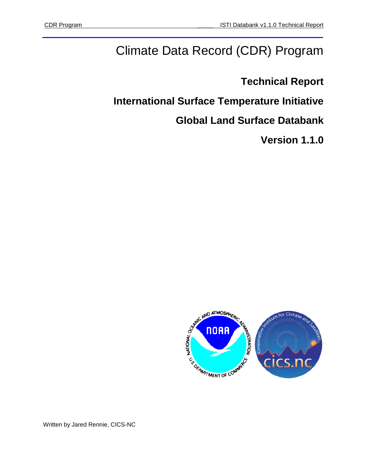# Climate Data Record (CDR) Program

**Technical Report**

**International Surface Temperature Initiative**

**Global Land Surface Databank**

**Version 1.1.0**



Written by Jared Rennie, CICS-NC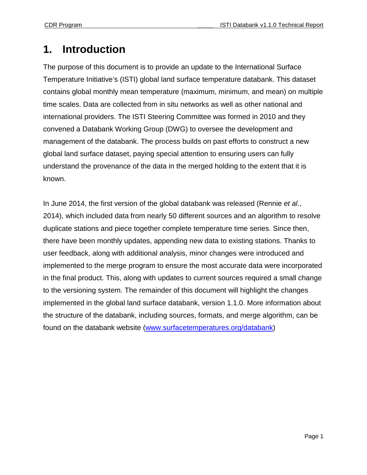#### **1. Introduction**

The purpose of this document is to provide an update to the International Surface Temperature Initiative's (ISTI) global land surface temperature databank. This dataset contains global monthly mean temperature (maximum, minimum, and mean) on multiple time scales. Data are collected from in situ networks as well as other national and international providers. The ISTI Steering Committee was formed in 2010 and they convened a Databank Working Group (DWG) to oversee the development and management of the databank. The process builds on past efforts to construct a new global land surface dataset, paying special attention to ensuring users can fully understand the provenance of the data in the merged holding to the extent that it is known.

In June 2014, the first version of the global databank was released (Rennie *et al*., 2014), which included data from nearly 50 different sources and an algorithm to resolve duplicate stations and piece together complete temperature time series. Since then, there have been monthly updates, appending new data to existing stations. Thanks to user feedback, along with additional analysis, minor changes were introduced and implemented to the merge program to ensure the most accurate data were incorporated in the final product. This, along with updates to current sources required a small change to the versioning system. The remainder of this document will highlight the changes implemented in the global land surface databank, version 1.1.0. More information about the structure of the databank, including sources, formats, and merge algorithm, can be found on the databank website [\(www.surfacetemperatures.org/databank\)](http://www.surfacetemperatures.org/databank)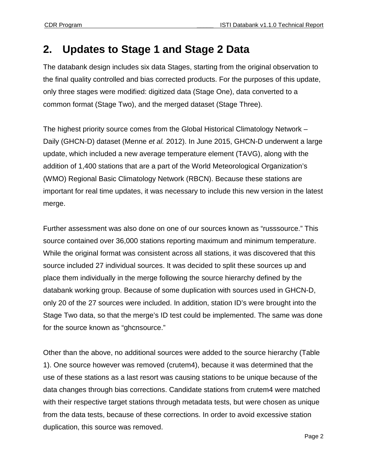#### **2. Updates to Stage 1 and Stage 2 Data**

The databank design includes six data Stages, starting from the original observation to the final quality controlled and bias corrected products. For the purposes of this update, only three stages were modified: digitized data (Stage One), data converted to a common format (Stage Two), and the merged dataset (Stage Three).

The highest priority source comes from the Global Historical Climatology Network – Daily (GHCN-D) dataset (Menne *et al.* 2012). In June 2015, GHCN-D underwent a large update, which included a new average temperature element (TAVG), along with the addition of 1,400 stations that are a part of the World Meteorological Organization's (WMO) Regional Basic Climatology Network (RBCN). Because these stations are important for real time updates, it was necessary to include this new version in the latest merge.

Further assessment was also done on one of our sources known as "russsource." This source contained over 36,000 stations reporting maximum and minimum temperature. While the original format was consistent across all stations, it was discovered that this source included 27 individual sources. It was decided to split these sources up and place them individually in the merge following the source hierarchy defined by the databank working group. Because of some duplication with sources used in GHCN-D, only 20 of the 27 sources were included. In addition, station ID's were brought into the Stage Two data, so that the merge's ID test could be implemented. The same was done for the source known as "ghcnsource."

Other than the above, no additional sources were added to the source hierarchy (Table 1). One source however was removed (crutem4), because it was determined that the use of these stations as a last resort was causing stations to be unique because of the data changes through bias corrections. Candidate stations from crutem4 were matched with their respective target stations through metadata tests, but were chosen as unique from the data tests, because of these corrections. In order to avoid excessive station duplication, this source was removed.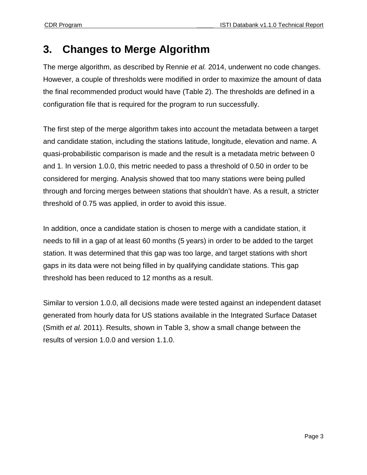#### **3. Changes to Merge Algorithm**

The merge algorithm, as described by Rennie *et al.* 2014, underwent no code changes. However, a couple of thresholds were modified in order to maximize the amount of data the final recommended product would have (Table 2). The thresholds are defined in a configuration file that is required for the program to run successfully.

The first step of the merge algorithm takes into account the metadata between a target and candidate station, including the stations latitude, longitude, elevation and name. A quasi-probabilistic comparison is made and the result is a metadata metric between 0 and 1. In version 1.0.0, this metric needed to pass a threshold of 0.50 in order to be considered for merging. Analysis showed that too many stations were being pulled through and forcing merges between stations that shouldn't have. As a result, a stricter threshold of 0.75 was applied, in order to avoid this issue.

In addition, once a candidate station is chosen to merge with a candidate station, it needs to fill in a gap of at least 60 months (5 years) in order to be added to the target station. It was determined that this gap was too large, and target stations with short gaps in its data were not being filled in by qualifying candidate stations. This gap threshold has been reduced to 12 months as a result.

Similar to version 1.0.0, all decisions made were tested against an independent dataset generated from hourly data for US stations available in the Integrated Surface Dataset (Smith *et al.* 2011). Results, shown in Table 3, show a small change between the results of version 1.0.0 and version 1.1.0.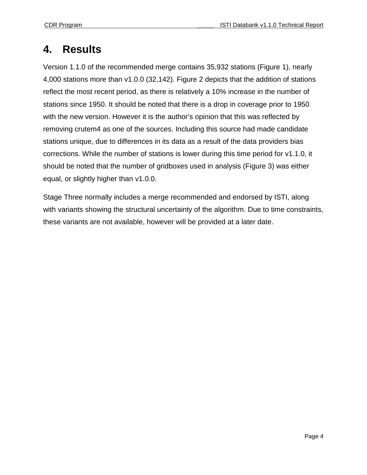### **4. Results**

Version 1.1.0 of the recommended merge contains 35,932 stations (Figure 1), nearly 4,000 stations more than v1.0.0 (32,142). Figure 2 depicts that the addition of stations reflect the most recent period, as there is relatively a 10% increase in the number of stations since 1950. It should be noted that there is a drop in coverage prior to 1950 with the new version. However it is the author's opinion that this was reflected by removing crutem4 as one of the sources. Including this source had made candidate stations unique, due to differences in its data as a result of the data providers bias corrections. While the number of stations is lower during this time period for v1.1.0, it should be noted that the number of gridboxes used in analysis (Figure 3) was either equal, or slightly higher than v1.0.0.

Stage Three normally includes a merge recommended and endorsed by ISTI, along with variants showing the structural uncertainty of the algorithm. Due to time constraints, these variants are not available, however will be provided at a later date.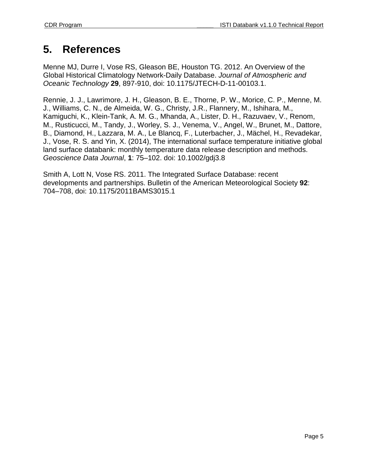### **5. References**

Menne MJ, Durre I, Vose RS, Gleason BE, Houston TG. 2012. An Overview of the Global Historical Climatology Network-Daily Database. *Journal of Atmospheric and Oceanic Technology* **29**, 897-910, doi: 10.1175/JTECH-D-11-00103.1.

Rennie, J. J., Lawrimore, J. H., Gleason, B. E., Thorne, P. W., Morice, C. P., Menne, M. J., Williams, C. N., de Almeida, W. G., Christy, J.R., Flannery, M., Ishihara, M., Kamiguchi, K., Klein-Tank, A. M. G., Mhanda, A., Lister, D. H., Razuvaev, V., Renom, M., Rusticucci, M., Tandy, J., Worley, S. J., Venema, V., Angel, W., Brunet, M., Dattore, B., Diamond, H., Lazzara, M. A., Le Blancq, F., Luterbacher, J., Mächel, H., Revadekar, J., Vose, R. S. and Yin, X. (2014), The international surface temperature initiative global land surface databank: monthly temperature data release description and methods. *Geoscience Data Journal*, **1**: 75–102. doi: 10.1002/gdj3.8

Smith A, Lott N, Vose RS. 2011. The Integrated Surface Database: recent developments and partnerships. Bulletin of the American Meteorological Society **92**: 704–708, doi: 10.1175/2011BAMS3015.1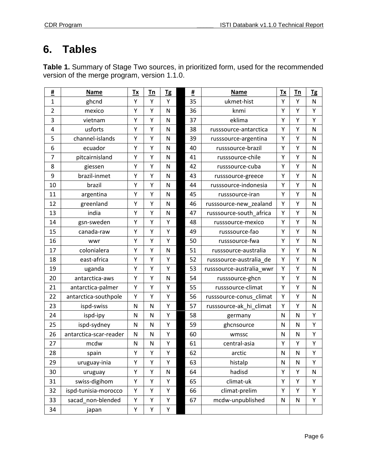# **6. Tables**

**Table 1.** Summary of Stage Two sources, in prioritized form, used for the recommended version of the merge program, version 1.1.0.

| <u>#</u>       | <b>Name</b>            | Tx        | Tn           | <b>Tg</b>    | <u>#</u> | <b>Name</b>              | Tx | Tn | <b>Tg</b>    |
|----------------|------------------------|-----------|--------------|--------------|----------|--------------------------|----|----|--------------|
| $\mathbf{1}$   | ghcnd                  | Y         | Y            | Y            | 35       | ukmet-hist               | Y  | Y  | $\mathsf{N}$ |
| $\overline{2}$ | mexico                 | Υ         | Υ            | $\mathsf{N}$ | 36       | knmi                     | Υ  | Υ  | Υ            |
| 3              | vietnam                | Υ         | Υ            | $\mathsf{N}$ | 37       | eklima                   | Υ  | Υ  | Υ            |
| $\overline{4}$ | usforts                | Υ         | Υ            | N            | 38       | russsource-antarctica    | Υ  | Υ  | N            |
| 5              | channel-islands        | Υ         | Y            | $\mathsf{N}$ | 39       | russsource-argentina     | Υ  | Υ  | $\mathsf{N}$ |
| 6              | ecuador                | Υ         | Υ            | $\mathsf{N}$ | 40       | russsource-brazil        | Υ  | Υ  | $\mathsf{N}$ |
| 7              | pitcairnisland         | Υ         | Υ            | N            | 41       | russsource-chile         | Υ  | Υ  | N            |
| 8              | giessen                | Υ         | Y            | N            | 42       | russsource-cuba          | Υ  | Υ  | $\mathsf{N}$ |
| 9              | brazil-inmet           | Υ         | Υ            | $\mathsf{N}$ | 43       | russsource-greece        | Υ  | Υ  | ${\sf N}$    |
| 10             | brazil                 | Υ         | Y            | N            | 44       | russsource-indonesia     | Υ  | Υ  | $\mathsf{N}$ |
| 11             | argentina              | Υ         | Υ            | N            | 45       | russsource-iran          | Υ  | Υ  | N            |
| 12             | greenland              | Υ         | Y            | $\mathsf{N}$ | 46       | russsource-new_zealand   | Υ  | Υ  | $\mathsf{N}$ |
| 13             | india                  | Υ         | Υ            | $\mathsf{N}$ | 47       | russsource-south_africa  | Υ  | Υ  | N            |
| 14             | gsn-sweden             | Υ         | Υ            | Υ            | 48       | russsource-mexico        | Υ  | Υ  | N            |
| 15             | canada-raw             | Υ         | Y            | Υ            | 49       | russsource-fao           | Υ  | Υ  | $\mathsf{N}$ |
| 16             | wwr                    | Υ         | Υ            | Υ            | 50       | russsource-fwa           | Υ  | Υ  | N            |
| 17             | colonialera            | Υ         | Υ            | N            | 51       | russsource-australia     | Υ  | Υ  | $\mathsf{N}$ |
| 18             | east-africa            | Υ         | Y            | Υ            | 52       | russsource-australia_de  | Υ  | Υ  | N            |
| 19             | uganda                 | Υ         | Υ            | Y            | 53       | russsource-australia_wwr | Υ  | Υ  | N            |
| 20             | antarctica-aws         | Υ         | Υ            | $\mathsf{N}$ | 54       | russsource-ghcn          | Υ  | Υ  | $\mathsf{N}$ |
| 21             | antarctica-palmer      | Υ         | Υ            | Υ            | 55       | russsource-climat        | Υ  | Υ  | ${\sf N}$    |
| 22             | antarctica-southpole   | Υ         | Y            | Y            | 56       | russsource-conus_climat  | Υ  | Υ  | $\mathsf{N}$ |
| 23             | ispd-swiss             | ${\sf N}$ | $\mathsf{N}$ | Υ            | 57       | russsource-ak_hi_climat  | Υ  | Υ  | ${\sf N}$    |
| 24             | ispd-ipy               | N         | N            | Υ            | 58       | germany                  | N  | N  | Υ            |
| 25             | ispd-sydney            | N         | N            | Y            | 59       | ghcnsource               | N  | N  | Υ            |
| 26             | antarctica-scar-reader | N         | N            | Υ            | 60       | wmssc                    | N  | N  | Υ            |
| 27             | mcdw                   | N         | N            | Υ            | 61       | central-asia             | Υ  | Υ  | Υ            |
| 28             | spain                  | Υ         | Υ            | Υ            | 62       | arctic                   | N  | N  | Υ            |
| 29             | uruguay-inia           | Υ         | Υ            | Υ            | 63       | histalp                  | N  | N  | Υ            |
| 30             | uruguay                | Υ         | Υ            | ${\sf N}$    | 64       | hadisd                   | Υ  | Υ  | ${\sf N}$    |
| 31             | swiss-digihom          | Υ         | Υ            | Υ            | 65       | climat-uk                | Υ  | Υ  | Υ            |
| 32             | ispd-tunisia-morocco   | Υ         | Υ            | Υ            | 66       | climat-prelim            | Υ  | Υ  | Υ            |
| 33             | sacad_non-blended      | Υ         | Υ            | Υ            | 67       | mcdw-unpublished         | N  | N  | Υ            |
| 34             | japan                  | Υ         | Υ            | Υ            |          |                          |    |    |              |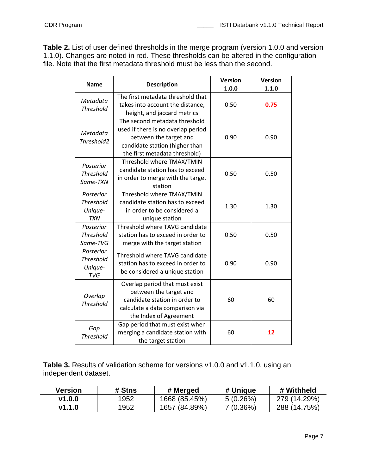**Table 2.** List of user defined thresholds in the merge program (version 1.0.0 and version 1.1.0). Changes are noted in red. These thresholds can be altered in the configuration file. Note that the first metadata threshold must be less than the second.

| <b>Name</b>      | <b>Description</b>                 | <b>Version</b><br>1.0.0 | <b>Version</b><br>1.1.0 |  |
|------------------|------------------------------------|-------------------------|-------------------------|--|
| Metadata         | The first metadata threshold that  |                         |                         |  |
| <b>Threshold</b> | takes into account the distance,   | 0.50                    | 0.75                    |  |
|                  | height, and jaccard metrics        |                         |                         |  |
|                  | The second metadata threshold      |                         |                         |  |
| Metadata         | used if there is no overlap period | 0.90                    | 0.90                    |  |
| Threshold2       | between the target and             |                         |                         |  |
|                  | candidate station (higher than     |                         |                         |  |
|                  | the first metadata threshold)      |                         |                         |  |
| Posterior        | Threshold where TMAX/TMIN          |                         |                         |  |
| <b>Threshold</b> | candidate station has to exceed    | 0.50                    | 0.50                    |  |
| Same-TXN         | in order to merge with the target  |                         |                         |  |
|                  | station                            |                         |                         |  |
| Posterior        | Threshold where TMAX/TMIN          |                         |                         |  |
| <b>Threshold</b> | candidate station has to exceed    | 1.30                    | 1.30                    |  |
| Unique-          | in order to be considered a        |                         |                         |  |
| <b>TXN</b>       | unique station                     |                         |                         |  |
| Posterior        | Threshold where TAVG candidate     |                         |                         |  |
| <b>Threshold</b> | station has to exceed in order to  | 0.50                    | 0.50                    |  |
| Same-TVG         | merge with the target station      |                         |                         |  |
| Posterior        | Threshold where TAVG candidate     |                         |                         |  |
| <b>Threshold</b> | station has to exceed in order to  | 0.90                    | 0.90                    |  |
| Unique-          | be considered a unique station     |                         |                         |  |
| <b>TVG</b>       |                                    |                         |                         |  |
|                  | Overlap period that must exist     |                         |                         |  |
| Overlap          | between the target and             |                         |                         |  |
| <b>Threshold</b> | candidate station in order to      | 60                      | 60                      |  |
|                  | calculate a data comparison via    |                         |                         |  |
|                  | the Index of Agreement             |                         |                         |  |
| Gap              | Gap period that must exist when    |                         |                         |  |
| <b>Threshold</b> | merging a candidate station with   | 60                      | 12                      |  |
|                  | the target station                 |                         |                         |  |

**Table 3.** Results of validation scheme for versions v1.0.0 and v1.1.0, using an independent dataset.

| Version | # Stns | # Merged      | # Unique    | # Withheld   |
|---------|--------|---------------|-------------|--------------|
| V1.0.0  | 1952   | 1668 (85.45%) | $5(0.26\%)$ | 279 (14.29%) |
| v1.1.0  | 1952   | 1657 (84.89%) | $7(0.36\%)$ | 288 (14.75%) |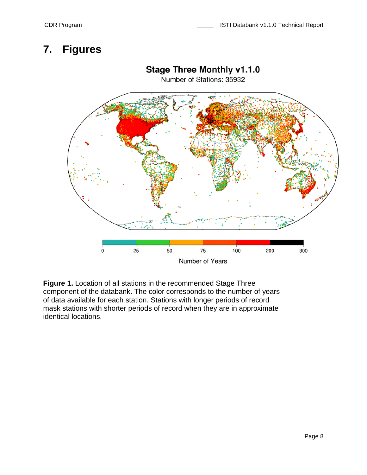## **7. Figures**



#### **Stage Three Monthly v1.1.0**

**Figure 1.** Location of all stations in the recommended Stage Three component of the databank. The color corresponds to the number of years of data available for each station. Stations with longer periods of record mask stations with shorter periods of record when they are in approximate identical locations.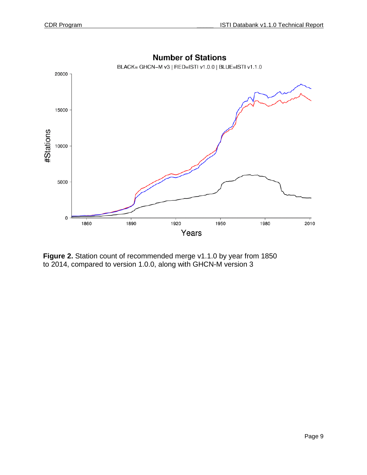

**Number of Stations** 

**Figure 2.** Station count of recommended merge v1.1.0 by year from 1850 to 2014, compared to version 1.0.0, along with GHCN-M version 3